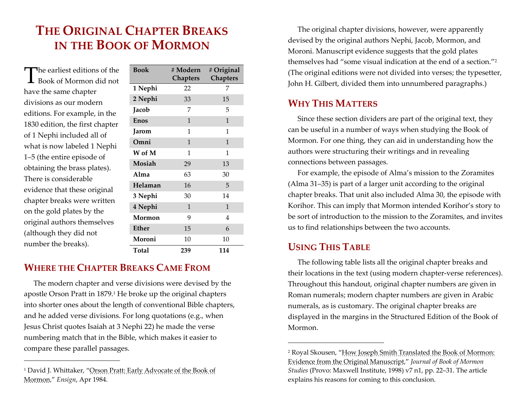## **THEORIGINAL CHAPTERBREAKSIN THE BOOK OF MORMON**

The earliest editions of the<br>Book of Mormon did not Book of Mormon did not have the same chapter divisions as our moderneditions. For example, in the 1830 edition, the first chapter of 1 Nephi included all of what is now labeled <sup>1</sup> Nephi 1–5 (the entire episode of obtaining the brass plates). There is considerableevidence that these original chapter breaks were written on the gold plates by the original authors themselves (although they did not number the breaks).

| <b>Book</b>   | # Modern<br><b>Chapters</b> | # Original<br><b>Chapters</b> |  |
|---------------|-----------------------------|-------------------------------|--|
| 1 Nephi       | 22                          | 7                             |  |
| 2 Nephi       | 33                          | 15                            |  |
| Jacob         | 7                           | 5                             |  |
| <b>Enos</b>   | $\mathbf{1}$                | $\mathbf{1}$                  |  |
| Jarom         | 1                           | 1                             |  |
| Omni          | $\mathbf{1}$                | $\mathbf{1}$                  |  |
| W of M        | 1                           | 1                             |  |
| <b>Mosiah</b> | 29                          | 13                            |  |
| Alma          | 63                          | 30                            |  |
| Helaman       | 16                          | 5                             |  |
| 3 Nephi       | 30                          | 14                            |  |
| 4 Nephi       | $\mathbf{1}$                | $\mathbf{1}$                  |  |
| Mormon        | 9                           | 4                             |  |
| <b>Ether</b>  | 15                          | 6                             |  |
| Moroni        | 10                          | 10                            |  |
| Total         | 239                         | 114                           |  |

## **WHERE THE CHAPTERBREAKSCAMEFROM**

The modern chapter and verse divisions were devised by the apostle Orson Pratt in 1879.1 He broke up the original chapters into shorter ones about the length of conventional Bible chapters, and he added verse divisions. For long quotations (e.g., when Jesus Christ quotes Isaiah at 3 Nephi 22) he made the verse numbering match that in the Bible, which makes it easier to compare these parallel passages.

The original chapter divisions, however, were apparently devised by the original authors Nephi, Jacob, Mormon, and Moroni. Manuscript evidence suggests that the gold plates themselves had "some visual indication at the end of a section."2 (The original editions were not divided into verses; the typesetter, John H. Gilbert, divided them into unnumbered paragraphs.)

## **WHYTHISMATTERS**

Since these section dividers are par<sup>t</sup> of the original text, they can be useful in a number of ways when studying the Book of Mormon. For one thing, they can aid in understanding how the authors were structuring their writings and in revealing connections between passages.

For example, the episode of Alma's mission to the Zoramites (Alma 31–35) is par<sup>t</sup> of a larger unit according to the original chapter breaks. That unit also included Alma 30, the episode with Korihor. This can imply that Mormon intended Korihor's story to be sort of introduction to the mission to the Zoramites, and invites us to find relationships between the two accounts.

## **USINGTHISTABLE**

The following table lists all the original chapter breaks and their locations in the text (using modern chapter‐verse references). Throughout this handout, original chapter numbers are given in Roman numerals; modern chapter numbers are given in Arabic numerals, as is customary. The original chapter breaks are displayed in the margins in the Structured Edition of the Book of Mormon.

<sup>&</sup>lt;sup>1</sup> David J. Whittaker, "<u>Orson Pratt: Early Advocate of the Book of</u> Mormon," *Ensign*, Apr 1984.

<sup>&</sup>lt;sup>2</sup> Royal Skousen, "<u>How Joseph Smith Translated the Book of Mormon</u>: Evidence from the Original Manuscript," *Journal of Book of Mormon Studies* (Provo: Maxwell Institute, 1998) v7 n1, pp. 22–31. The article explains his reasons for coming to this conclusion.